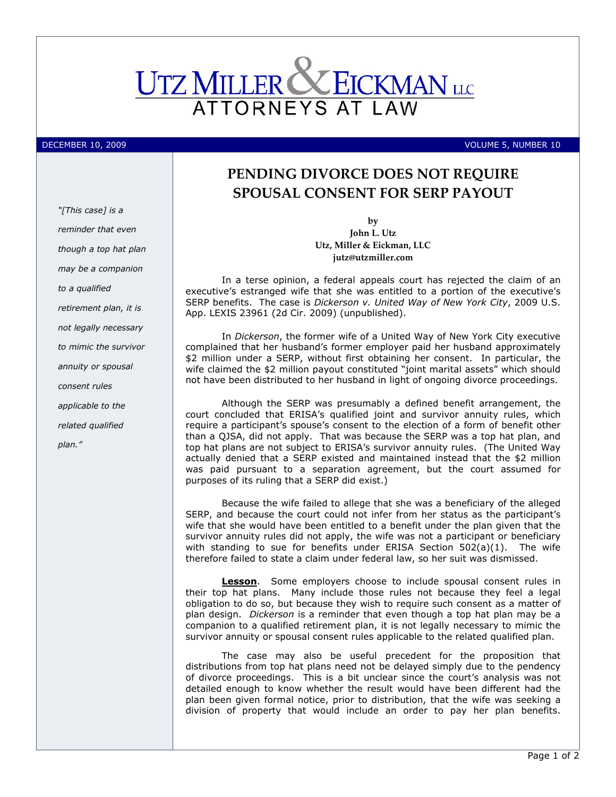

DECEMBER 10, 2009 VOLUME 5, NUMBER 10

## PENDING DIVORCE DOES NOT REQUIRE SPOUSAL CONSENT FOR SERP PAYOUT

by John L. Utz Utz, Miller & Eickman, LLC jutz@utzmiller.com

In a terse opinion, a federal appeals court has rejected the claim of an executive's estranged wife that she was entitled to a portion of the executive's SERP benefits. The case is Dickerson v. United Way of New York City, 2009 U.S. App. LEXIS 23961 (2d Cir. 2009) (unpublished).

In Dickerson, the former wife of a United Way of New York City executive complained that her husband's former employer paid her husband approximately \$2 million under a SERP, without first obtaining her consent. In particular, the wife claimed the \$2 million payout constituted "joint marital assets" which should not have been distributed to her husband in light of ongoing divorce proceedings.

Although the SERP was presumably a defined benefit arrangement, the court concluded that ERISA's qualified joint and survivor annuity rules, which require a participant's spouse's consent to the election of a form of benefit other than a QJSA, did not apply. That was because the SERP was a top hat plan, and top hat plans are not subject to ERISA's survivor annuity rules. (The United Way actually denied that a SERP existed and maintained instead that the \$2 million was paid pursuant to a separation agreement, but the court assumed for purposes of its ruling that a SERP did exist.)

Because the wife failed to allege that she was a beneficiary of the alleged SERP, and because the court could not infer from her status as the participant's wife that she would have been entitled to a benefit under the plan given that the survivor annuity rules did not apply, the wife was not a participant or beneficiary with standing to sue for benefits under ERISA Section  $502(a)(1)$ . The wife therefore failed to state a claim under federal law, so her suit was dismissed.

**Lesson**. Some employers choose to include spousal consent rules in their top hat plans. Many include those rules not because they feel a legal obligation to do so, but because they wish to require such consent as a matter of plan design. Dickerson is a reminder that even though a top hat plan may be a companion to a qualified retirement plan, it is not legally necessary to mimic the survivor annuity or spousal consent rules applicable to the related qualified plan.

The case may also be useful precedent for the proposition that distributions from top hat plans need not be delayed simply due to the pendency of divorce proceedings. This is a bit unclear since the court's analysis was not detailed enough to know whether the result would have been different had the plan been given formal notice, prior to distribution, that the wife was seeking a division of property that would include an order to pay her plan benefits.

"[This case] is a reminder that even though a top hat plan may be a companion to a qualified retirement plan, it is not legally necessary to mimic the survivor annuity or spousal consent rules applicable to the related qualified plan."